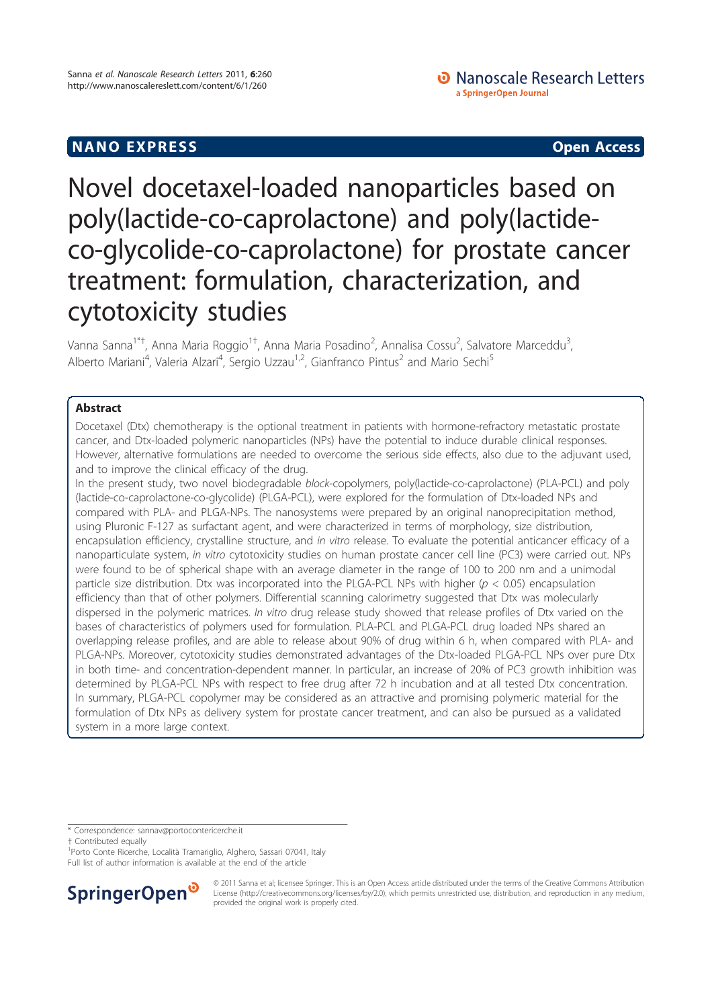# **NANO EXPRESS Open Access**

• Nanoscale Research Letters a SpringerOpen Journal

# Novel docetaxel-loaded nanoparticles based on poly(lactide-co-caprolactone) and poly(lactideco-glycolide-co-caprolactone) for prostate cancer treatment: formulation, characterization, and cytotoxicity studies

Vanna Sanna<sup>1\*†</sup>, Anna Maria Roggio<sup>1†</sup>, Anna Maria Posadino<sup>2</sup>, Annalisa Cossu<sup>2</sup>, Salvatore Marceddu<sup>3</sup> , Alberto Mariani<sup>4</sup>, Valeria Alzari<sup>4</sup>, Sergio Uzzau<sup>1,2</sup>, Gianfranco Pintus<sup>2</sup> and Mario Sechi<sup>5</sup>

# Abstract

Docetaxel (Dtx) chemotherapy is the optional treatment in patients with hormone-refractory metastatic prostate cancer, and Dtx-loaded polymeric nanoparticles (NPs) have the potential to induce durable clinical responses. However, alternative formulations are needed to overcome the serious side effects, also due to the adjuvant used, and to improve the clinical efficacy of the drug.

In the present study, two novel biodegradable block-copolymers, poly(lactide-co-caprolactone) (PLA-PCL) and poly (lactide-co-caprolactone-co-glycolide) (PLGA-PCL), were explored for the formulation of Dtx-loaded NPs and compared with PLA- and PLGA-NPs. The nanosystems were prepared by an original nanoprecipitation method, using Pluronic F-127 as surfactant agent, and were characterized in terms of morphology, size distribution, encapsulation efficiency, crystalline structure, and in vitro release. To evaluate the potential anticancer efficacy of a nanoparticulate system, in vitro cytotoxicity studies on human prostate cancer cell line (PC3) were carried out. NPs were found to be of spherical shape with an average diameter in the range of 100 to 200 nm and a unimodal particle size distribution. Dtx was incorporated into the PLGA-PCL NPs with higher ( $p < 0.05$ ) encapsulation efficiency than that of other polymers. Differential scanning calorimetry suggested that Dtx was molecularly dispersed in the polymeric matrices. In vitro drug release study showed that release profiles of Dtx varied on the bases of characteristics of polymers used for formulation. PLA-PCL and PLGA-PCL drug loaded NPs shared an overlapping release profiles, and are able to release about 90% of drug within 6 h, when compared with PLA- and PLGA-NPs. Moreover, cytotoxicity studies demonstrated advantages of the Dtx-loaded PLGA-PCL NPs over pure Dtx in both time- and concentration-dependent manner. In particular, an increase of 20% of PC3 growth inhibition was determined by PLGA-PCL NPs with respect to free drug after 72 h incubation and at all tested Dtx concentration. In summary, PLGA-PCL copolymer may be considered as an attractive and promising polymeric material for the formulation of Dtx NPs as delivery system for prostate cancer treatment, and can also be pursued as a validated system in a more large context.

<sup>1</sup> Porto Conte Ricerche, Località Tramariglio, Alghero, Sassari 07041, Italy Full list of author information is available at the end of the article



© 2011 Sanna et al; licensee Springer. This is an Open Access article distributed under the terms of the Creative Commons Attribution License (http://creativecommons.org/licenses/by/2.0), which permits unrestricted use, distribution, and reproduction in any medium, provided the original work is properly cited.

<sup>\*</sup> Correspondence: sannav@portocontericerche.it

<sup>†</sup> Contributed equally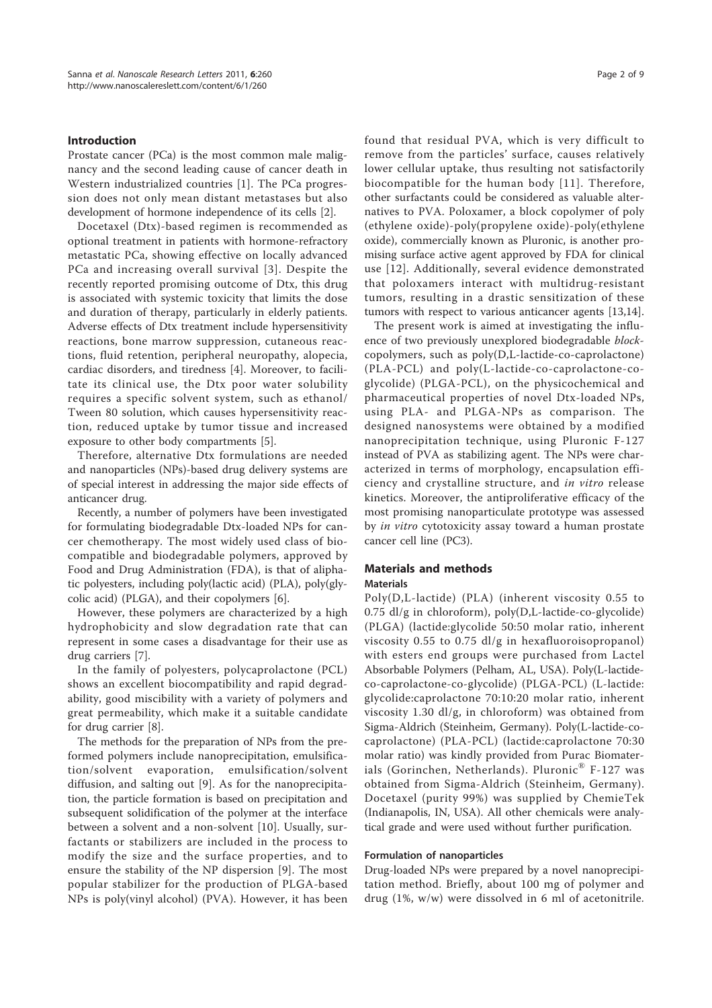# Introduction

Prostate cancer (PCa) is the most common male malignancy and the second leading cause of cancer death in Western industrialized countries [1]. The PCa progression does not only mean distant metastases but also development of hormone independence of its cells [2].

Docetaxel (Dtx)-based regimen is recommended as optional treatment in patients with hormone-refractory metastatic PCa, showing effective on locally advanced PCa and increasing overall survival [3]. Despite the recently reported promising outcome of Dtx, this drug is associated with systemic toxicity that limits the dose and duration of therapy, particularly in elderly patients. Adverse effects of Dtx treatment include hypersensitivity reactions, bone marrow suppression, cutaneous reactions, fluid retention, peripheral neuropathy, alopecia, cardiac disorders, and tiredness [4]. Moreover, to facilitate its clinical use, the Dtx poor water solubility requires a specific solvent system, such as ethanol/ Tween 80 solution, which causes hypersensitivity reaction, reduced uptake by tumor tissue and increased exposure to other body compartments [5].

Therefore, alternative Dtx formulations are needed and nanoparticles (NPs)-based drug delivery systems are of special interest in addressing the major side effects of anticancer drug.

Recently, a number of polymers have been investigated for formulating biodegradable Dtx-loaded NPs for cancer chemotherapy. The most widely used class of biocompatible and biodegradable polymers, approved by Food and Drug Administration (FDA), is that of aliphatic polyesters, including poly(lactic acid) (PLA), poly(glycolic acid) (PLGA), and their copolymers [6].

However, these polymers are characterized by a high hydrophobicity and slow degradation rate that can represent in some cases a disadvantage for their use as drug carriers [7].

In the family of polyesters, polycaprolactone (PCL) shows an excellent biocompatibility and rapid degradability, good miscibility with a variety of polymers and great permeability, which make it a suitable candidate for drug carrier [8].

The methods for the preparation of NPs from the preformed polymers include nanoprecipitation, emulsification/solvent evaporation, emulsification/solvent diffusion, and salting out [9]. As for the nanoprecipitation, the particle formation is based on precipitation and subsequent solidification of the polymer at the interface between a solvent and a non-solvent [10]. Usually, surfactants or stabilizers are included in the process to modify the size and the surface properties, and to ensure the stability of the NP dispersion [9]. The most popular stabilizer for the production of PLGA-based NPs is poly(vinyl alcohol) (PVA). However, it has been found that residual PVA, which is very difficult to remove from the particles' surface, causes relatively lower cellular uptake, thus resulting not satisfactorily biocompatible for the human body [11]. Therefore, other surfactants could be considered as valuable alternatives to PVA. Poloxamer, a block copolymer of poly (ethylene oxide)-poly(propylene oxide)-poly(ethylene oxide), commercially known as Pluronic, is another promising surface active agent approved by FDA for clinical use [12]. Additionally, several evidence demonstrated that poloxamers interact with multidrug-resistant tumors, resulting in a drastic sensitization of these tumors with respect to various anticancer agents [13,14].

The present work is aimed at investigating the influence of two previously unexplored biodegradable blockcopolymers, such as poly(D,L-lactide-co-caprolactone) (PLA-PCL) and poly(L-lactide-co-caprolactone-coglycolide) (PLGA-PCL), on the physicochemical and pharmaceutical properties of novel Dtx-loaded NPs, using PLA- and PLGA-NPs as comparison. The designed nanosystems were obtained by a modified nanoprecipitation technique, using Pluronic F-127 instead of PVA as stabilizing agent. The NPs were characterized in terms of morphology, encapsulation efficiency and crystalline structure, and in vitro release kinetics. Moreover, the antiproliferative efficacy of the most promising nanoparticulate prototype was assessed by *in vitro* cytotoxicity assay toward a human prostate cancer cell line (PC3).

# Materials and methods

# Materials

Poly(D,L-lactide) (PLA) (inherent viscosity 0.55 to 0.75 dl/g in chloroform), poly(D,L-lactide-co-glycolide) (PLGA) (lactide:glycolide 50:50 molar ratio, inherent viscosity 0.55 to 0.75 dl/g in hexafluoroisopropanol) with esters end groups were purchased from Lactel Absorbable Polymers (Pelham, AL, USA). Poly(L-lactideco-caprolactone-co-glycolide) (PLGA-PCL) (L-lactide: glycolide:caprolactone 70:10:20 molar ratio, inherent viscosity 1.30 dl/g, in chloroform) was obtained from Sigma-Aldrich (Steinheim, Germany). Poly(L-lactide-cocaprolactone) (PLA-PCL) (lactide:caprolactone 70:30 molar ratio) was kindly provided from Purac Biomaterials (Gorinchen, Netherlands). Pluronic® F-127 was obtained from Sigma-Aldrich (Steinheim, Germany). Docetaxel (purity 99%) was supplied by ChemieTek (Indianapolis, IN, USA). All other chemicals were analytical grade and were used without further purification.

#### Formulation of nanoparticles

Drug-loaded NPs were prepared by a novel nanoprecipitation method. Briefly, about 100 mg of polymer and drug (1%, w/w) were dissolved in 6 ml of acetonitrile.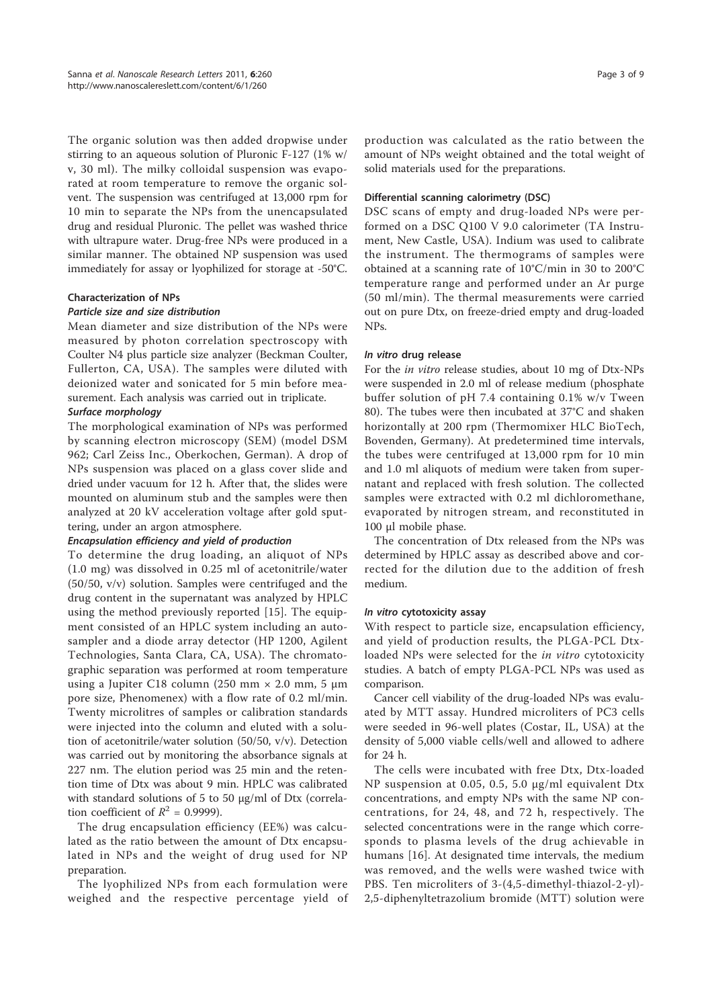The organic solution was then added dropwise under stirring to an aqueous solution of Pluronic F-127 (1% w/ v, 30 ml). The milky colloidal suspension was evaporated at room temperature to remove the organic solvent. The suspension was centrifuged at 13,000 rpm for 10 min to separate the NPs from the unencapsulated drug and residual Pluronic. The pellet was washed thrice with ultrapure water. Drug-free NPs were produced in a similar manner. The obtained NP suspension was used immediately for assay or lyophilized for storage at -50°C.

# Characterization of NPs

# Particle size and size distribution

Mean diameter and size distribution of the NPs were measured by photon correlation spectroscopy with Coulter N4 plus particle size analyzer (Beckman Coulter, Fullerton, CA, USA). The samples were diluted with deionized water and sonicated for 5 min before measurement. Each analysis was carried out in triplicate.

# Surface morphology

The morphological examination of NPs was performed by scanning electron microscopy (SEM) (model DSM 962; Carl Zeiss Inc., Oberkochen, German). A drop of NPs suspension was placed on a glass cover slide and dried under vacuum for 12 h. After that, the slides were mounted on aluminum stub and the samples were then analyzed at 20 kV acceleration voltage after gold sputtering, under an argon atmosphere.

# Encapsulation efficiency and yield of production

To determine the drug loading, an aliquot of NPs (1.0 mg) was dissolved in 0.25 ml of acetonitrile/water (50/50, v/v) solution. Samples were centrifuged and the drug content in the supernatant was analyzed by HPLC using the method previously reported [15]. The equipment consisted of an HPLC system including an autosampler and a diode array detector (HP 1200, Agilent Technologies, Santa Clara, CA, USA). The chromatographic separation was performed at room temperature using a Jupiter C18 column (250 mm  $\times$  2.0 mm, 5 μm pore size, Phenomenex) with a flow rate of 0.2 ml/min. Twenty microlitres of samples or calibration standards were injected into the column and eluted with a solution of acetonitrile/water solution (50/50, v/v). Detection was carried out by monitoring the absorbance signals at 227 nm. The elution period was 25 min and the retention time of Dtx was about 9 min. HPLC was calibrated with standard solutions of 5 to 50 μg/ml of Dtx (correlation coefficient of  $R^2 = 0.9999$ ).

The drug encapsulation efficiency (EE%) was calculated as the ratio between the amount of Dtx encapsulated in NPs and the weight of drug used for NP preparation.

The lyophilized NPs from each formulation were weighed and the respective percentage yield of

production was calculated as the ratio between the amount of NPs weight obtained and the total weight of solid materials used for the preparations.

## Differential scanning calorimetry (DSC)

DSC scans of empty and drug-loaded NPs were performed on a DSC Q100 V 9.0 calorimeter (TA Instrument, New Castle, USA). Indium was used to calibrate the instrument. The thermograms of samples were obtained at a scanning rate of 10°C/min in 30 to 200°C temperature range and performed under an Ar purge (50 ml/min). The thermal measurements were carried out on pure Dtx, on freeze-dried empty and drug-loaded NPs.

# In vitro drug release

For the in vitro release studies, about 10 mg of Dtx-NPs were suspended in 2.0 ml of release medium (phosphate buffer solution of pH 7.4 containing 0.1% w/v Tween 80). The tubes were then incubated at 37°C and shaken horizontally at 200 rpm (Thermomixer HLC BioTech, Bovenden, Germany). At predetermined time intervals, the tubes were centrifuged at 13,000 rpm for 10 min and 1.0 ml aliquots of medium were taken from supernatant and replaced with fresh solution. The collected samples were extracted with 0.2 ml dichloromethane, evaporated by nitrogen stream, and reconstituted in 100 μl mobile phase.

The concentration of Dtx released from the NPs was determined by HPLC assay as described above and corrected for the dilution due to the addition of fresh medium.

#### In vitro cytotoxicity assay

With respect to particle size, encapsulation efficiency, and yield of production results, the PLGA-PCL Dtxloaded NPs were selected for the in vitro cytotoxicity studies. A batch of empty PLGA-PCL NPs was used as comparison.

Cancer cell viability of the drug-loaded NPs was evaluated by MTT assay. Hundred microliters of PC3 cells were seeded in 96-well plates (Costar, IL, USA) at the density of 5,000 viable cells/well and allowed to adhere for 24 h.

The cells were incubated with free Dtx, Dtx-loaded NP suspension at 0.05, 0.5, 5.0 μg/ml equivalent Dtx concentrations, and empty NPs with the same NP concentrations, for 24, 48, and 72 h, respectively. The selected concentrations were in the range which corresponds to plasma levels of the drug achievable in humans [16]. At designated time intervals, the medium was removed, and the wells were washed twice with PBS. Ten microliters of 3-(4,5-dimethyl-thiazol-2-yl)- 2,5-diphenyltetrazolium bromide (MTT) solution were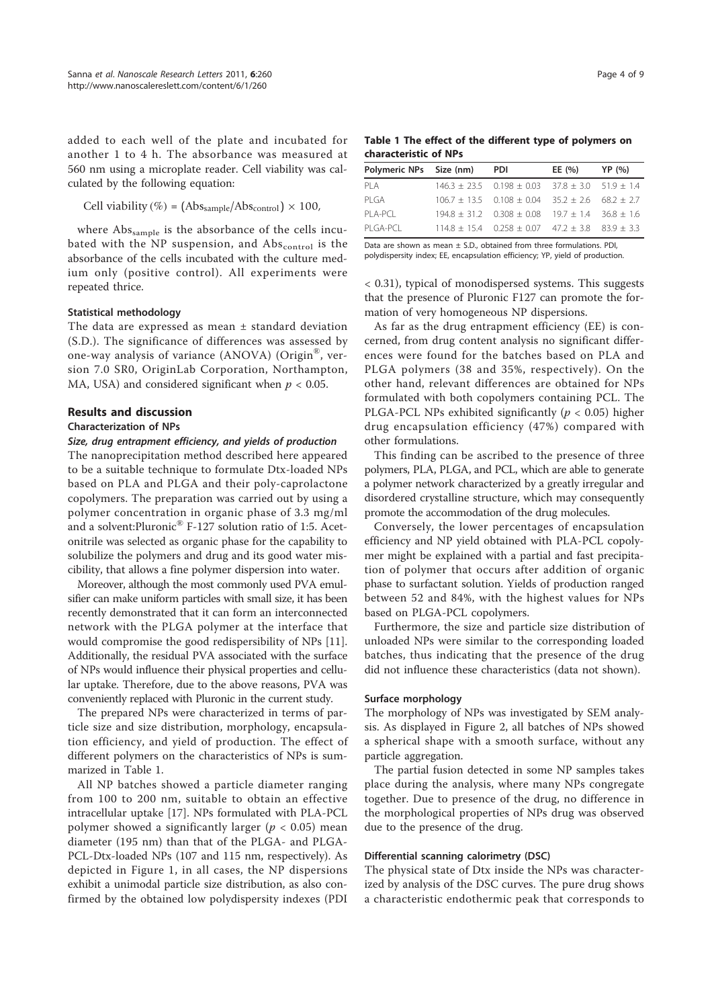added to each well of the plate and incubated for another 1 to 4 h. The absorbance was measured at 560 nm using a microplate reader. Cell viability was calculated by the following equation:

Cell viability (
$$
\%
$$
) = (Abs<sub>sample</sub>/Abs<sub>control</sub>) × 100,

where Abs<sub>sample</sub> is the absorbance of the cells incubated with the NP suspension, and  $Abs_{control}$  is the absorbance of the cells incubated with the culture medium only (positive control). All experiments were repeated thrice.

#### Statistical methodology

The data are expressed as mean ± standard deviation (S.D.). The significance of differences was assessed by one-way analysis of variance (ANOVA) (Origin® , version 7.0 SR0, OriginLab Corporation, Northampton, MA, USA) and considered significant when  $p < 0.05$ .

#### Results and discussion

#### Characterization of NPs

## Size, drug entrapment efficiency, and yields of production

The nanoprecipitation method described here appeared to be a suitable technique to formulate Dtx-loaded NPs based on PLA and PLGA and their poly-caprolactone copolymers. The preparation was carried out by using a polymer concentration in organic phase of 3.3 mg/ml and a solvent:Pluronic® F-127 solution ratio of 1:5. Acetonitrile was selected as organic phase for the capability to solubilize the polymers and drug and its good water miscibility, that allows a fine polymer dispersion into water.

Moreover, although the most commonly used PVA emulsifier can make uniform particles with small size, it has been recently demonstrated that it can form an interconnected network with the PLGA polymer at the interface that would compromise the good redispersibility of NPs [11]. Additionally, the residual PVA associated with the surface of NPs would influence their physical properties and cellular uptake. Therefore, due to the above reasons, PVA was conveniently replaced with Pluronic in the current study.

The prepared NPs were characterized in terms of particle size and size distribution, morphology, encapsulation efficiency, and yield of production. The effect of different polymers on the characteristics of NPs is summarized in Table 1.

All NP batches showed a particle diameter ranging from 100 to 200 nm, suitable to obtain an effective intracellular uptake [17]. NPs formulated with PLA-PCL polymer showed a significantly larger ( $p < 0.05$ ) mean diameter (195 nm) than that of the PLGA- and PLGA-PCL-Dtx-loaded NPs (107 and 115 nm, respectively). As depicted in Figure 1, in all cases, the NP dispersions exhibit a unimodal particle size distribution, as also confirmed by the obtained low polydispersity indexes (PDI

Table 1 The effect of the different type of polymers on characteristic of NPs

| Polymeric NPs Size (nm) | <b>PDI</b>                                                      | EE (%) | YP (%) |
|-------------------------|-----------------------------------------------------------------|--------|--------|
| PI A                    | $146.3 \pm 23.5$ 0.198 $\pm$ 0.03 37.8 $\pm$ 3.0 51.9 $\pm$ 1.4 |        |        |
| PI GA                   | $106.7 \pm 13.5$ 0.108 $\pm$ 0.04 35.2 $\pm$ 2.6 68.2 $\pm$ 2.7 |        |        |
| $PI$ A-PCL              | $194.8 \pm 31.2$ 0.308 $\pm$ 0.08 19.7 $\pm$ 1.4 36.8 $\pm$ 1.6 |        |        |
| PI GA-PCL               | $114.8 \pm 15.4$ 0.258 $\pm$ 0.07 47.2 $\pm$ 3.8 83.9 $\pm$ 3.3 |        |        |

Data are shown as mean  $\pm$  S.D., obtained from three formulations. PDI, polydispersity index; EE, encapsulation efficiency; YP, yield of production.

< 0.31), typical of monodispersed systems. This suggests that the presence of Pluronic F127 can promote the formation of very homogeneous NP dispersions.

As far as the drug entrapment efficiency (EE) is concerned, from drug content analysis no significant differences were found for the batches based on PLA and PLGA polymers (38 and 35%, respectively). On the other hand, relevant differences are obtained for NPs formulated with both copolymers containing PCL. The PLGA-PCL NPs exhibited significantly ( $p < 0.05$ ) higher drug encapsulation efficiency (47%) compared with other formulations.

This finding can be ascribed to the presence of three polymers, PLA, PLGA, and PCL, which are able to generate a polymer network characterized by a greatly irregular and disordered crystalline structure, which may consequently promote the accommodation of the drug molecules.

Conversely, the lower percentages of encapsulation efficiency and NP yield obtained with PLA-PCL copolymer might be explained with a partial and fast precipitation of polymer that occurs after addition of organic phase to surfactant solution. Yields of production ranged between 52 and 84%, with the highest values for NPs based on PLGA-PCL copolymers.

Furthermore, the size and particle size distribution of unloaded NPs were similar to the corresponding loaded batches, thus indicating that the presence of the drug did not influence these characteristics (data not shown).

# Surface morphology

The morphology of NPs was investigated by SEM analysis. As displayed in Figure 2, all batches of NPs showed a spherical shape with a smooth surface, without any particle aggregation.

The partial fusion detected in some NP samples takes place during the analysis, where many NPs congregate together. Due to presence of the drug, no difference in the morphological properties of NPs drug was observed due to the presence of the drug.

# Differential scanning calorimetry (DSC)

The physical state of Dtx inside the NPs was characterized by analysis of the DSC curves. The pure drug shows a characteristic endothermic peak that corresponds to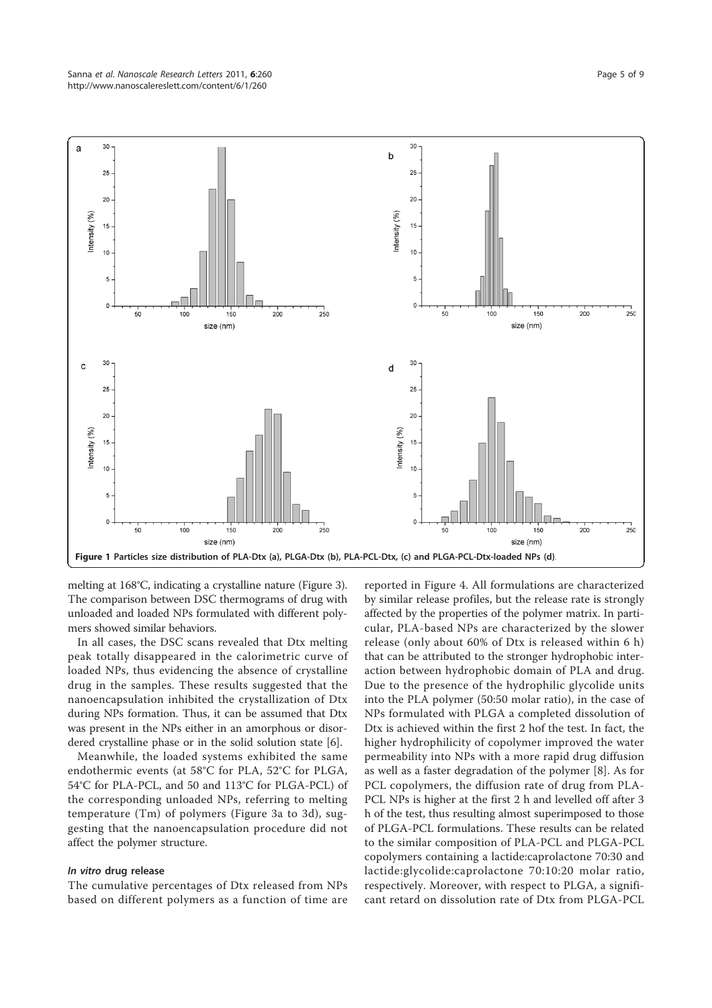

melting at 168°C, indicating a crystalline nature (Figure 3). The comparison between DSC thermograms of drug with unloaded and loaded NPs formulated with different polymers showed similar behaviors.

In all cases, the DSC scans revealed that Dtx melting peak totally disappeared in the calorimetric curve of loaded NPs, thus evidencing the absence of crystalline drug in the samples. These results suggested that the nanoencapsulation inhibited the crystallization of Dtx during NPs formation. Thus, it can be assumed that Dtx was present in the NPs either in an amorphous or disordered crystalline phase or in the solid solution state [6].

Meanwhile, the loaded systems exhibited the same endothermic events (at 58°C for PLA, 52°C for PLGA, 54°C for PLA-PCL, and 50 and 113°C for PLGA-PCL) of the corresponding unloaded NPs, referring to melting temperature (Tm) of polymers (Figure 3a to 3d), suggesting that the nanoencapsulation procedure did not affect the polymer structure.

# In vitro drug release

The cumulative percentages of Dtx released from NPs based on different polymers as a function of time are

reported in Figure 4. All formulations are characterized by similar release profiles, but the release rate is strongly affected by the properties of the polymer matrix. In particular, PLA-based NPs are characterized by the slower release (only about 60% of Dtx is released within 6 h) that can be attributed to the stronger hydrophobic interaction between hydrophobic domain of PLA and drug. Due to the presence of the hydrophilic glycolide units into the PLA polymer (50:50 molar ratio), in the case of NPs formulated with PLGA a completed dissolution of Dtx is achieved within the first 2 hof the test. In fact, the higher hydrophilicity of copolymer improved the water permeability into NPs with a more rapid drug diffusion as well as a faster degradation of the polymer [8]. As for PCL copolymers, the diffusion rate of drug from PLA-PCL NPs is higher at the first 2 h and levelled off after 3 h of the test, thus resulting almost superimposed to those of PLGA-PCL formulations. These results can be related to the similar composition of PLA-PCL and PLGA-PCL copolymers containing a lactide:caprolactone 70:30 and lactide:glycolide:caprolactone 70:10:20 molar ratio, respectively. Moreover, with respect to PLGA, a significant retard on dissolution rate of Dtx from PLGA-PCL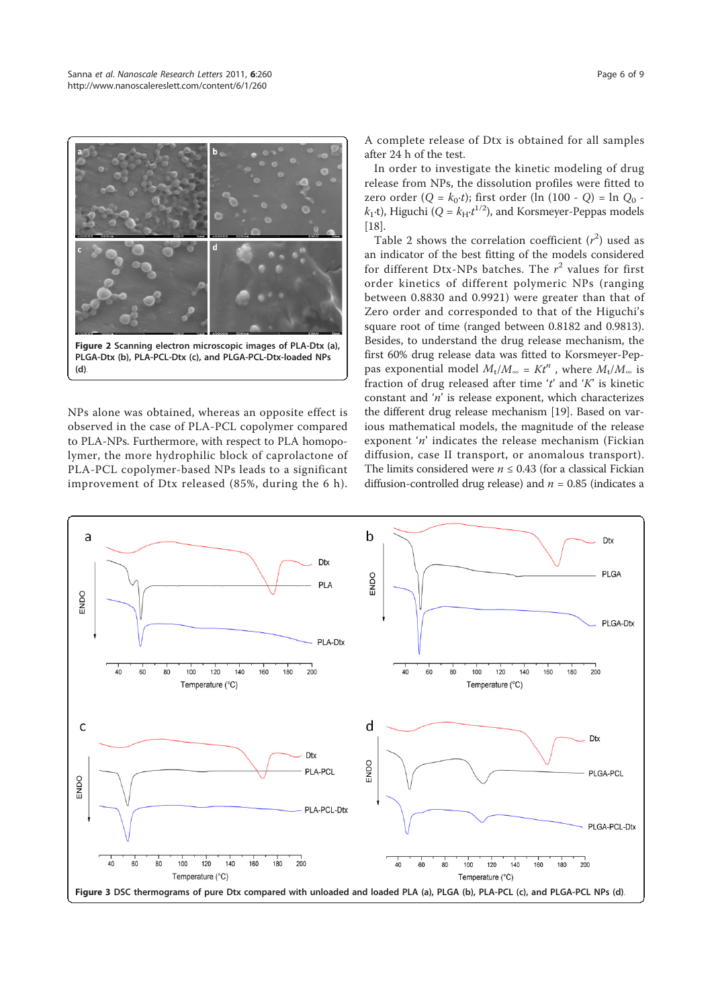

NPs alone was obtained, whereas an opposite effect is observed in the case of PLA-PCL copolymer compared to PLA-NPs. Furthermore, with respect to PLA homopolymer, the more hydrophilic block of caprolactone of PLA-PCL copolymer-based NPs leads to a significant improvement of Dtx released (85%, during the 6 h). A complete release of Dtx is obtained for all samples after 24 h of the test.

In order to investigate the kinetic modeling of drug release from NPs, the dissolution profiles were fitted to zero order (Q =  $k_0 \cdot t$ ); first order (ln (100 - Q) = ln Q<sub>0</sub>  $k_1$ ·t), Higuchi ( $Q = k_H \cdot t^{1/2}$ ), and Korsmeyer-Peppas models [18].

Table 2 shows the correlation coefficient  $(r^2)$  used as an indicator of the best fitting of the models considered for different Dtx-NPs batches. The  $r^2$  values for first order kinetics of different polymeric NPs (ranging between 0.8830 and 0.9921) were greater than that of Zero order and corresponded to that of the Higuchi's square root of time (ranged between 0.8182 and 0.9813). Besides, to understand the drug release mechanism, the first 60% drug release data was fitted to Korsmeyer-Peppas exponential model  $M_t/M_{\infty} = Kt^n$ , where  $M_t/M_{\infty}$  is fraction of drug released after time 't' and ' $K$ ' is kinetic constant and  $'n'$  is release exponent, which characterizes the different drug release mechanism [19]. Based on various mathematical models, the magnitude of the release exponent 'n' indicates the release mechanism (Fickian diffusion, case II transport, or anomalous transport). The limits considered were  $n \leq 0.43$  (for a classical Fickian diffusion-controlled drug release) and  $n = 0.85$  (indicates a

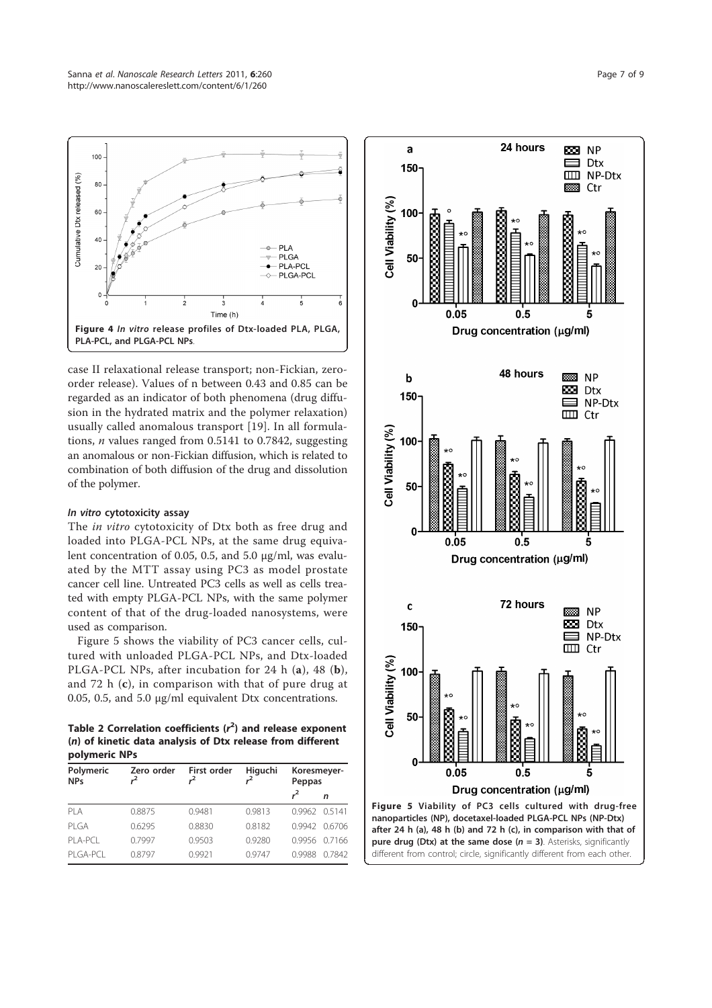

case II relaxational release transport; non-Fickian, zeroorder release). Values of n between 0.43 and 0.85 can be regarded as an indicator of both phenomena (drug diffusion in the hydrated matrix and the polymer relaxation) usually called anomalous transport [19]. In all formulations, *n* values ranged from  $0.5141$  to  $0.7842$ , suggesting an anomalous or non-Fickian diffusion, which is related to combination of both diffusion of the drug and dissolution of the polymer.

# In vitro cytotoxicity assay

The *in vitro* cytotoxicity of Dtx both as free drug and loaded into PLGA-PCL NPs, at the same drug equivalent concentration of 0.05, 0.5, and 5.0 μg/ml, was evaluated by the MTT assay using PC3 as model prostate cancer cell line. Untreated PC3 cells as well as cells treated with empty PLGA-PCL NPs, with the same polymer content of that of the drug-loaded nanosystems, were used as comparison.

Figure 5 shows the viability of PC3 cancer cells, cultured with unloaded PLGA-PCL NPs, and Dtx-loaded PLGA-PCL NPs, after incubation for 24 h (a), 48 (b), and 72 h (c), in comparison with that of pure drug at 0.05, 0.5, and 5.0 μg/ml equivalent Dtx concentrations.

Table 2 Correlation coefficients  $(r^2)$  and release exponent (n) of kinetic data analysis of Dtx release from different polymeric NPs

| Polymeric<br><b>NPs</b> | Zero order | First order | Higuchi | Koresmeyer-<br>Peppas |               |  |  |
|-------------------------|------------|-------------|---------|-----------------------|---------------|--|--|
|                         |            |             |         |                       | n             |  |  |
| PLA                     | 0.8875     | 0.9481      | 0.9813  | 0.9962 0.5141         |               |  |  |
| PI GA                   | 0.6295     | 0.8830      | 0.8182  |                       | 0.9942 0.6706 |  |  |
| $PI$ A-PCI              | 0.7997     | 0.9503      | 0.9280  |                       | 0.9956 0.7166 |  |  |
| PI GAPCI                | 0.8797     | 0.9921      | 0.9747  | 0.9988                | 0.7842        |  |  |

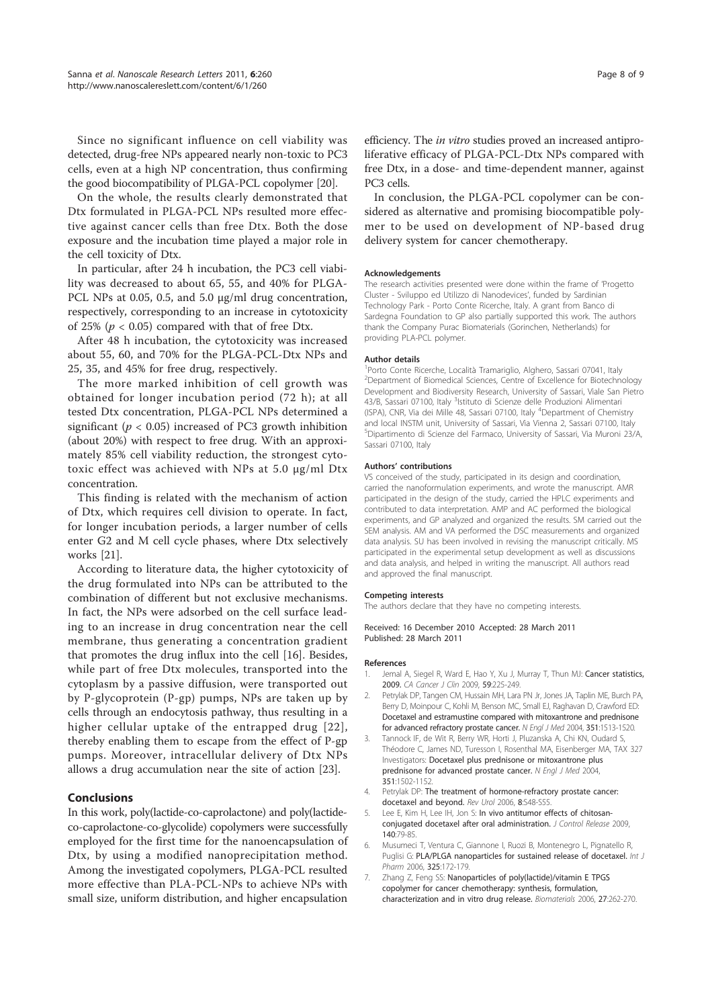Since no significant influence on cell viability was detected, drug-free NPs appeared nearly non-toxic to PC3 cells, even at a high NP concentration, thus confirming the good biocompatibility of PLGA-PCL copolymer [20].

On the whole, the results clearly demonstrated that Dtx formulated in PLGA-PCL NPs resulted more effective against cancer cells than free Dtx. Both the dose exposure and the incubation time played a major role in the cell toxicity of Dtx.

In particular, after 24 h incubation, the PC3 cell viability was decreased to about 65, 55, and 40% for PLGA-PCL NPs at 0.05, 0.5, and 5.0 μg/ml drug concentration, respectively, corresponding to an increase in cytotoxicity of 25% ( $p < 0.05$ ) compared with that of free Dtx.

After 48 h incubation, the cytotoxicity was increased about 55, 60, and 70% for the PLGA-PCL-Dtx NPs and 25, 35, and 45% for free drug, respectively.

The more marked inhibition of cell growth was obtained for longer incubation period (72 h); at all tested Dtx concentration, PLGA-PCL NPs determined a significant ( $p < 0.05$ ) increased of PC3 growth inhibition (about 20%) with respect to free drug. With an approximately 85% cell viability reduction, the strongest cytotoxic effect was achieved with NPs at 5.0 μg/ml Dtx concentration.

This finding is related with the mechanism of action of Dtx, which requires cell division to operate. In fact, for longer incubation periods, a larger number of cells enter G2 and M cell cycle phases, where Dtx selectively works [21].

According to literature data, the higher cytotoxicity of the drug formulated into NPs can be attributed to the combination of different but not exclusive mechanisms. In fact, the NPs were adsorbed on the cell surface leading to an increase in drug concentration near the cell membrane, thus generating a concentration gradient that promotes the drug influx into the cell [16]. Besides, while part of free Dtx molecules, transported into the cytoplasm by a passive diffusion, were transported out by P-glycoprotein (P-gp) pumps, NPs are taken up by cells through an endocytosis pathway, thus resulting in a higher cellular uptake of the entrapped drug [22], thereby enabling them to escape from the effect of P-gp pumps. Moreover, intracellular delivery of Dtx NPs allows a drug accumulation near the site of action [23].

#### Conclusions

In this work, poly(lactide-co-caprolactone) and poly(lactideco-caprolactone-co-glycolide) copolymers were successfully employed for the first time for the nanoencapsulation of Dtx, by using a modified nanoprecipitation method. Among the investigated copolymers, PLGA-PCL resulted more effective than PLA-PCL-NPs to achieve NPs with small size, uniform distribution, and higher encapsulation

efficiency. The in vitro studies proved an increased antiproliferative efficacy of PLGA-PCL-Dtx NPs compared with free Dtx, in a dose- and time-dependent manner, against PC3 cells.

In conclusion, the PLGA-PCL copolymer can be considered as alternative and promising biocompatible polymer to be used on development of NP-based drug delivery system for cancer chemotherapy.

#### Acknowledgements

The research activities presented were done within the frame of 'Progetto Cluster - Sviluppo ed Utilizzo di Nanodevices', funded by Sardinian Technology Park - Porto Conte Ricerche, Italy. A grant from Banco di Sardegna Foundation to GP also partially supported this work. The authors thank the Company Purac Biomaterials (Gorinchen, Netherlands) for providing PLA-PCL polymer.

#### Author details

<sup>1</sup>Porto Conte Ricerche, Località Tramariglio, Alghero, Sassari 07041, Italy <sup>2</sup>Department of Biomedical Sciences, Centre of Excellence for Biotechnology Development and Biodiversity Research, University of Sassari, Viale San Pietro 43/B, Sassari 07100, Italy <sup>3</sup>lstituto di Scienze delle Produzioni Alimentari (ISPA), CNR, Via dei Mille 48, Sassari 07100, Italy <sup>4</sup>Department of Chemistry and local INSTM unit, University of Sassari, Via Vienna 2, Sassari 07100, Italy <sup>5</sup>Dipartimento di Scienze del Farmaco, University of Sassari, Via Muroni 23/A, Sassari 07100, Italy

#### Authors' contributions

VS conceived of the study, participated in its design and coordination, carried the nanoformulation experiments, and wrote the manuscript. AMR participated in the design of the study, carried the HPLC experiments and contributed to data interpretation. AMP and AC performed the biological experiments, and GP analyzed and organized the results. SM carried out the SEM analysis. AM and VA performed the DSC measurements and organized data analysis. SU has been involved in revising the manuscript critically. MS participated in the experimental setup development as well as discussions and data analysis, and helped in writing the manuscript. All authors read and approved the final manuscript.

#### Competing interests

The authors declare that they have no competing interests.

Received: 16 December 2010 Accepted: 28 March 2011 Published: 28 March 2011

#### References

- 1. Jemal A, Siegel R, Ward E, Hao Y, Xu J, Murray T, Thun MJ: Cancer statistics, 2009. CA Cancer J Clin 2009, 59:225-249.
- Petrylak DP, Tangen CM, Hussain MH, Lara PN Jr, Jones JA, Taplin ME, Burch PA, Berry D, Moinpour C, Kohli M, Benson MC, Small EJ, Raghavan D, Crawford ED: Docetaxel and estramustine compared with mitoxantrone and prednisone for advanced refractory prostate cancer. N Engl J Med 2004, 351:1513-1520.
- 3. Tannock IF, de Wit R, Berry WR, Horti J, Pluzanska A, Chi KN, Oudard S, Théodore C, James ND, Turesson I, Rosenthal MA, Eisenberger MA, TAX 327 Investigators: Docetaxel plus prednisone or mitoxantrone plus prednisone for advanced prostate cancer. N Engl J Med 2004, 351:1502-1152.
- 4. Petrylak DP: The treatment of hormone-refractory prostate cancer: docetaxel and beyond. Rev Urol 2006, 8:S48-S55.
- 5. Lee E, Kim H, Lee IH, Jon S: In vivo antitumor effects of chitosanconjugated docetaxel after oral administration. J Control Release 2009, 140:79-85.
- 6. Musumeci T, Ventura C, Giannone I, Ruozi B, Montenegro L, Pignatello R, Puglisi G: PLA/PLGA nanoparticles for sustained release of docetaxel. Int J Pharm 2006, 325:172-179.
- 7. Zhang Z, Feng SS: Nanoparticles of poly(lactide)/vitamin E TPGS copolymer for cancer chemotherapy: synthesis, formulation, characterization and in vitro drug release. Biomaterials 2006, 27:262-270.